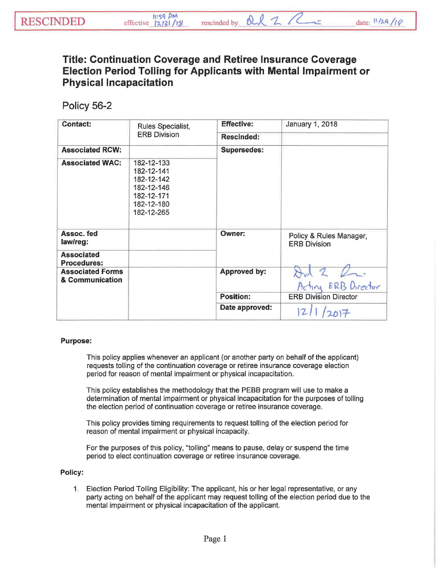## **Title: Continuation Coverage and Retiree Insurance Coverage Election Period Tolling for Applicants with Mental Impairment or Physical Incapacitation**

## Policy 56-2

| <b>Contact:</b>                            | Rules Specialist,<br><b>ERB Division</b>                                                       | <b>Effective:</b>  | January 1, 2018                                |
|--------------------------------------------|------------------------------------------------------------------------------------------------|--------------------|------------------------------------------------|
|                                            |                                                                                                | <b>Rescinded:</b>  |                                                |
| <b>Associated RCW:</b>                     |                                                                                                | <b>Supersedes:</b> |                                                |
| <b>Associated WAC:</b>                     | 182-12-133<br>182-12-141<br>182-12-142<br>182-12-146<br>182-12-171<br>182-12-180<br>182-12-265 |                    |                                                |
| Assoc. fed<br>law/reg:                     |                                                                                                | Owner:             | Policy & Rules Manager,<br><b>ERB Division</b> |
| <b>Associated</b><br><b>Procedures:</b>    |                                                                                                |                    |                                                |
| <b>Associated Forms</b><br>& Communication |                                                                                                | Approved by:       |                                                |
|                                            |                                                                                                |                    | Acting ERB Director                            |
|                                            |                                                                                                | <b>Position:</b>   | <b>ERB Division Director</b>                   |
|                                            |                                                                                                | Date approved:     | 2017                                           |

## Purpose:

This policy applies whenever an applicant (or another party on behalf of the applicant) requests tolling of the continuation coverage or retiree insurance coverage election period for reason of mental impairment or physical incapacitation.

This policy establishes the methodology that the PEBB program will use to make a determination of mental impairment or physical incapacitation for the purposes of tolling the election period of continuation coverage or retiree insurance coverage.

This policy provides timing requirements to request tolling of the election period for reason of mental impairment or physical incapacity.

For the purposes of this policy, "tolling" means to pause, delay or suspend the time period to elect continuation coverage or retiree insurance coverage.

## Policy:

1. Election Period Tolling Eligibility: The applicant, his or her legal representative, or any party acting on behalf of the applicant may request tolling of the election period due to the mental impairment or physical incapacitation of the applicant.